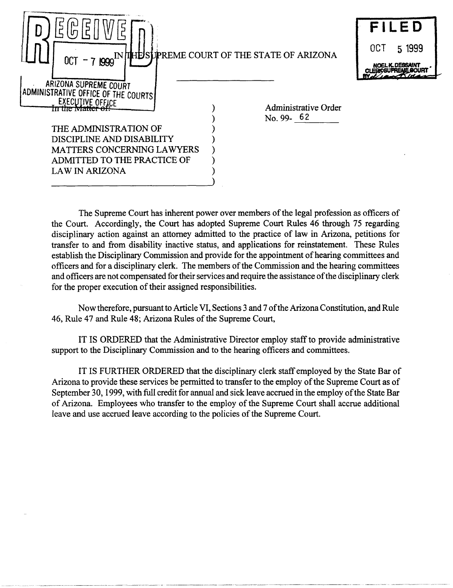| $0C$ T - 7 1999                                                                                                                                                                                                              | IN THE SUPREME COURT OF THE STATE OF ARIZONA | FILED<br>0CT<br>5 1999 |
|------------------------------------------------------------------------------------------------------------------------------------------------------------------------------------------------------------------------------|----------------------------------------------|------------------------|
| ARIZONA SUPREME COURT<br>ADMINISTRATIVE OFFICE OF THE COURTS<br>EXECUTIVE OFFICE<br>THE ADMINISTRATION OF<br>DISCIPLINE AND DISABILITY<br>MATTERS CONCERNING LAWYERS<br>ADMITTED TO THE PRACTICE OF<br><b>LAW IN ARIZONA</b> | Administrative Order<br>No. 99- $62$         |                        |

The Supreme Court has inherent power over members of the legal profession as officers of the Court. Accordingly, the Court has adopted Supreme Court Rules 46 through 75 regarding disciplinary action against an attorney admitted to the practice of law in Arizona, petitions for transfer to and from disability inactive status, and applications for reinstatement. These Rules establish the Disciplinary Commission and provide for the appointment of hearing committees and officers and for a disciplinary clerk. The members of the Commission and the hearing committees and officers are not compensated for their services and require the assistance of the disciplinary clerk for the proper execution of their assigned responsibilities.

Now therefore, pursuant to Article VI, Sections 3 and 7 of the Arizona Constitution, and Rule 46, Rule 47 and Rule 48; Arizona Rules of the Supreme Court,

IT IS ORDERED that the Administrative Director employ staff to provide administrative support to the Disciplinary Commission and to the hearing officers and committees.

IT IS FURTHER ORDERED that the disciplinary clerk staff employed by the State Bar of Arizona to provide these services be permitted to transfer to the employ of the Supreme Court as of September 30, 1999, with full credit for annual and sick leave accrued in the employ of the State Bar of Arizona. Employees who transfer to the employ of the Supreme Court shall accrue additional leave and use accrued leave according to the policies of the Supreme Court.